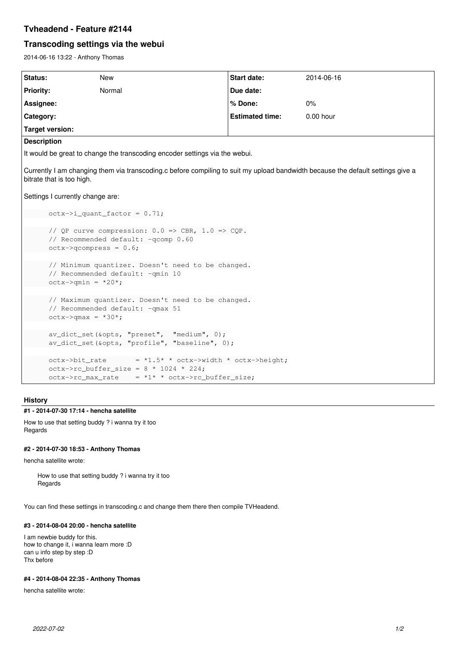# **Tvheadend - Feature #2144**

# **Transcoding settings via the webui**

2014-06-16 13:22 - Anthony Thomas

| <b>Status:</b>   | <b>New</b> | <b>Start date:</b>     | 2014-06-16  |
|------------------|------------|------------------------|-------------|
| <b>Priority:</b> | Normal     | Due date:              |             |
| Assignee:        |            | ∣% Done:               | $0\%$       |
| Category:        |            | <b>Estimated time:</b> | $0.00$ hour |
| Target version:  |            |                        |             |

### **Description**

It would be great to change the transcoding encoder settings via the webui.

Currently I am changing them via transcoding.c before compiling to suit my upload bandwidth because the default settings give a bitrate that is too high.

Settings I currently change are:

```
      octx->i_quant_factor = 0.71;
// QP curve compression: 0.0 => CBR, 1.0 => CQP.
      // Recommended default: -qcomp 0.60
      octx->qcompress = 0.6;
      // Minimum quantizer. Doesn't need to be changed.
      // Recommended default: -qmin 10
octx->qmin = *20*;      // Maximum quantizer. Doesn't need to be changed.
      // Recommended default: -qmax 51
octx->qmax = *30*;
      av_dict_set(&opts, "preset",  "medium", 0);
      av_dict_set(&opts, "profile", "baseline", 0);
octx->bit_rate = *1.5* * octx->width * octx->height;
octx->rc_buffer\_size = 8 * 1024 * 224;octx->rc\_max\_rate = *1* * octx->rc\_buffer\_size;
```
## **History**

#### **#1 - 2014-07-30 17:14 - hencha satellite**

How to use that setting buddy ? i wanna try it too Regards

#### **#2 - 2014-07-30 18:53 - Anthony Thomas**

hencha satellite wrote:

How to use that setting buddy ? i wanna try it too Regards

You can find these settings in transcoding.c and change them there then compile TVHeadend.

## **#3 - 2014-08-04 20:00 - hencha satellite**

I am newbie buddy for this. how to change it, i wanna learn more :D can u info step by step :D Thx before

# **#4 - 2014-08-04 22:35 - Anthony Thomas**

hencha satellite wrote: